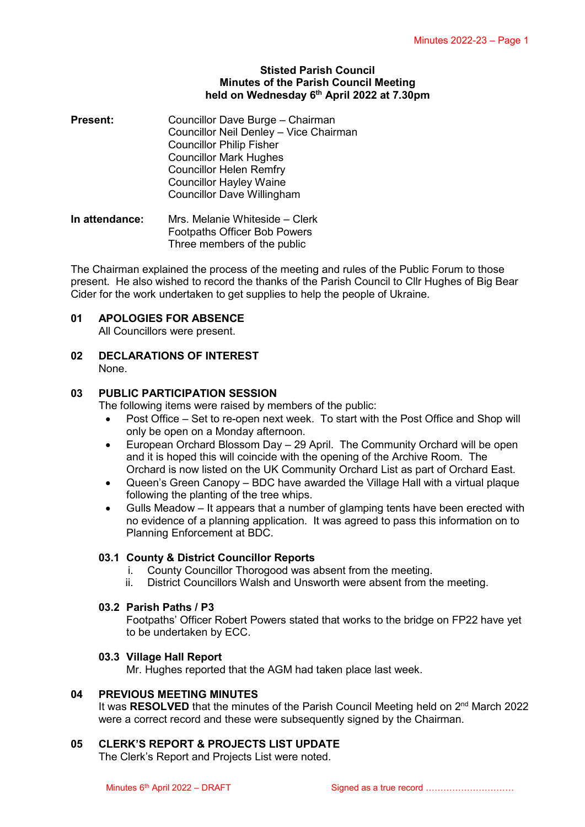#### **Stisted Parish Council Minutes of the Parish Council Meeting held on Wednesday 6 th April 2022 at 7.30pm**

**Present:** Councillor Dave Burge – Chairman Councillor Neil Denley – Vice Chairman Councillor Philip Fisher Councillor Mark Hughes Councillor Helen Remfry Councillor Hayley Waine Councillor Dave Willingham

**In attendance:** Mrs. Melanie Whiteside – Clerk Footpaths Officer Bob Powers Three members of the public

The Chairman explained the process of the meeting and rules of the Public Forum to those present. He also wished to record the thanks of the Parish Council to Cllr Hughes of Big Bear Cider for the work undertaken to get supplies to help the people of Ukraine.

## **01 APOLOGIES FOR ABSENCE**

All Councillors were present.

**02 DECLARATIONS OF INTEREST** None.

### **03 PUBLIC PARTICIPATION SESSION**

The following items were raised by members of the public:

- Post Office Set to re-open next week. To start with the Post Office and Shop will only be open on a Monday afternoon.
- European Orchard Blossom Day 29 April. The Community Orchard will be open and it is hoped this will coincide with the opening of the Archive Room. The Orchard is now listed on the UK Community Orchard List as part of Orchard East.
- Queen's Green Canopy BDC have awarded the Village Hall with a virtual plaque following the planting of the tree whips.
- Gulls Meadow It appears that a number of glamping tents have been erected with no evidence of a planning application. It was agreed to pass this information on to Planning Enforcement at BDC.

#### **03.1 County & District Councillor Reports**

- i. County Councillor Thorogood was absent from the meeting.
- ii. District Councillors Walsh and Unsworth were absent from the meeting.

## **03.2 Parish Paths / P3**

Footpaths' Officer Robert Powers stated that works to the bridge on FP22 have yet to be undertaken by ECC.

#### **03.3 Village Hall Report**

Mr. Hughes reported that the AGM had taken place last week.

#### **04 PREVIOUS MEETING MINUTES**

It was RESOLVED that the minutes of the Parish Council Meeting held on 2<sup>nd</sup> March 2022 were a correct record and these were subsequently signed by the Chairman.

#### **05 CLERK'S REPORT & PROJECTS LIST UPDATE**

The Clerk's Report and Projects List were noted.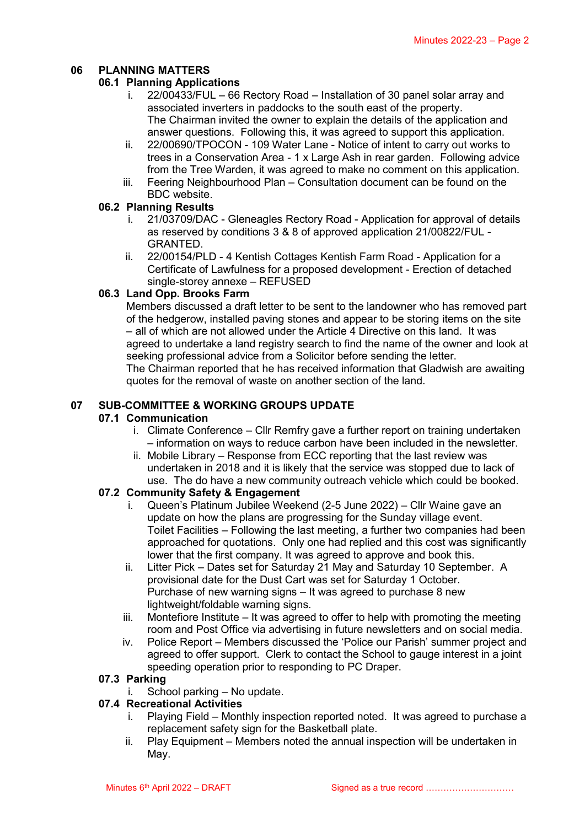# **06 PLANNING MATTERS**

## **06.1 Planning Applications**

- i. 22/00433/FUL 66 Rectory Road Installation of 30 panel solar array and associated inverters in paddocks to the south east of the property. The Chairman invited the owner to explain the details of the application and answer questions. Following this, it was agreed to support this application.
- ii. 22/00690/TPOCON 109 Water Lane Notice of intent to carry out works to trees in a Conservation Area - 1 x Large Ash in rear garden. Following advice from the Tree Warden, it was agreed to make no comment on this application.
- iii. Feering Neighbourhood Plan Consultation document can be found on the BDC website.

## **06.2 Planning Results**

- i. 21/03709/DAC Gleneagles Rectory Road Application for approval of details as reserved by conditions 3 & 8 of approved application 21/00822/FUL - GRANTED.
- ii. 22/00154/PLD 4 Kentish Cottages Kentish Farm Road Application for a Certificate of Lawfulness for a proposed development - Erection of detached single-storey annexe – REFUSED

# **06.3 Land Opp. Brooks Farm**

Members discussed a draft letter to be sent to the landowner who has removed part of the hedgerow, installed paving stones and appear to be storing items on the site – all of which are not allowed under the Article 4 Directive on this land. It was agreed to undertake a land registry search to find the name of the owner and look at seeking professional advice from a Solicitor before sending the letter. The Chairman reported that he has received information that Gladwish are awaiting quotes for the removal of waste on another section of the land.

## **07 SUB-COMMITTEE & WORKING GROUPS UPDATE**

# **07.1 Communication**

- i. Climate Conference Cllr Remfry gave a further report on training undertaken – information on ways to reduce carbon have been included in the newsletter.
- ii. Mobile Library Response from ECC reporting that the last review was undertaken in 2018 and it is likely that the service was stopped due to lack of use. The do have a new community outreach vehicle which could be booked.

# **07.2 Community Safety & Engagement**

- i. Queen's Platinum Jubilee Weekend (2-5 June 2022) Cllr Waine gave an update on how the plans are progressing for the Sunday village event. Toilet Facilities – Following the last meeting, a further two companies had been approached for quotations. Only one had replied and this cost was significantly lower that the first company. It was agreed to approve and book this.
- ii. Litter Pick Dates set for Saturday 21 May and Saturday 10 September. A provisional date for the Dust Cart was set for Saturday 1 October. Purchase of new warning signs – It was agreed to purchase 8 new lightweight/foldable warning signs.
- iii. Montefiore Institute It was agreed to offer to help with promoting the meeting room and Post Office via advertising in future newsletters and on social media.
- iv. Police Report Members discussed the 'Police our Parish' summer project and agreed to offer support. Clerk to contact the School to gauge interest in a joint speeding operation prior to responding to PC Draper.

## **07.3 Parking**

i. School parking – No update.

## **07.4 Recreational Activities**

- i. Playing Field Monthly inspection reported noted. It was agreed to purchase a replacement safety sign for the Basketball plate.
- ii. Play Equipment Members noted the annual inspection will be undertaken in May.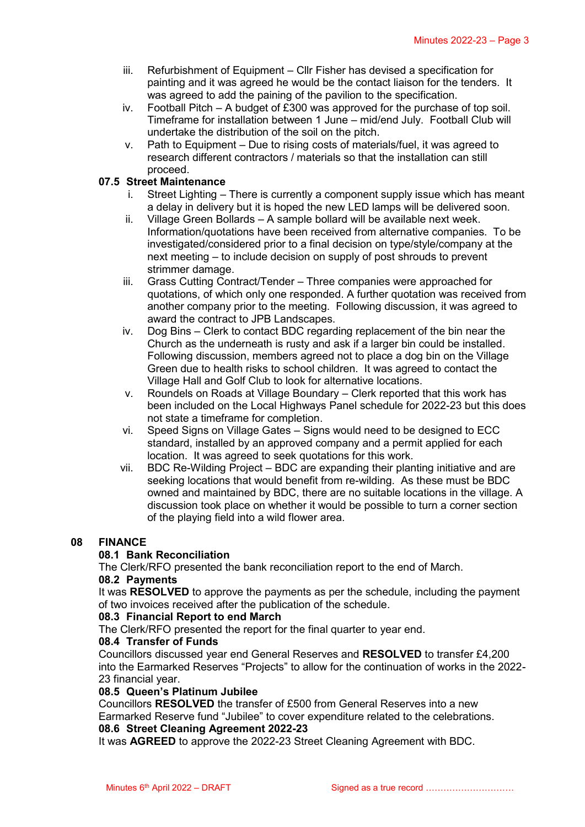- iii. Refurbishment of Equipment Cllr Fisher has devised a specification for painting and it was agreed he would be the contact liaison for the tenders. It was agreed to add the paining of the pavilion to the specification.
- iv. Football Pitch A budget of £300 was approved for the purchase of top soil. Timeframe for installation between 1 June – mid/end July. Football Club will undertake the distribution of the soil on the pitch.
- v. Path to Equipment Due to rising costs of materials/fuel, it was agreed to research different contractors / materials so that the installation can still proceed.

# **07.5 Street Maintenance**

- i. Street Lighting There is currently a component supply issue which has meant a delay in delivery but it is hoped the new LED lamps will be delivered soon.
- ii. Village Green Bollards A sample bollard will be available next week. Information/quotations have been received from alternative companies. To be investigated/considered prior to a final decision on type/style/company at the next meeting – to include decision on supply of post shrouds to prevent strimmer damage.
- iii. Grass Cutting Contract/Tender Three companies were approached for quotations, of which only one responded. A further quotation was received from another company prior to the meeting. Following discussion, it was agreed to award the contract to JPB Landscapes.
- iv. Dog Bins Clerk to contact BDC regarding replacement of the bin near the Church as the underneath is rusty and ask if a larger bin could be installed. Following discussion, members agreed not to place a dog bin on the Village Green due to health risks to school children. It was agreed to contact the Village Hall and Golf Club to look for alternative locations.
- v. Roundels on Roads at Village Boundary Clerk reported that this work has been included on the Local Highways Panel schedule for 2022-23 but this does not state a timeframe for completion.
- vi. Speed Signs on Village Gates Signs would need to be designed to ECC standard, installed by an approved company and a permit applied for each location. It was agreed to seek quotations for this work.
- vii. BDC Re-Wilding Project BDC are expanding their planting initiative and are seeking locations that would benefit from re-wilding. As these must be BDC owned and maintained by BDC, there are no suitable locations in the village. A discussion took place on whether it would be possible to turn a corner section of the playing field into a wild flower area.

## **08 FINANCE**

## **08.1 Bank Reconciliation**

The Clerk/RFO presented the bank reconciliation report to the end of March.

## **08.2 Payments**

It was **RESOLVED** to approve the payments as per the schedule, including the payment of two invoices received after the publication of the schedule.

#### **08.3 Financial Report to end March**

The Clerk/RFO presented the report for the final quarter to year end.

## **08.4 Transfer of Funds**

Councillors discussed year end General Reserves and **RESOLVED** to transfer £4,200 into the Earmarked Reserves "Projects" to allow for the continuation of works in the 2022- 23 financial year.

#### **08.5 Queen's Platinum Jubilee**

Councillors **RESOLVED** the transfer of £500 from General Reserves into a new Earmarked Reserve fund "Jubilee" to cover expenditure related to the celebrations. **08.6 Street Cleaning Agreement 2022-23**

It was **AGREED** to approve the 2022-23 Street Cleaning Agreement with BDC.